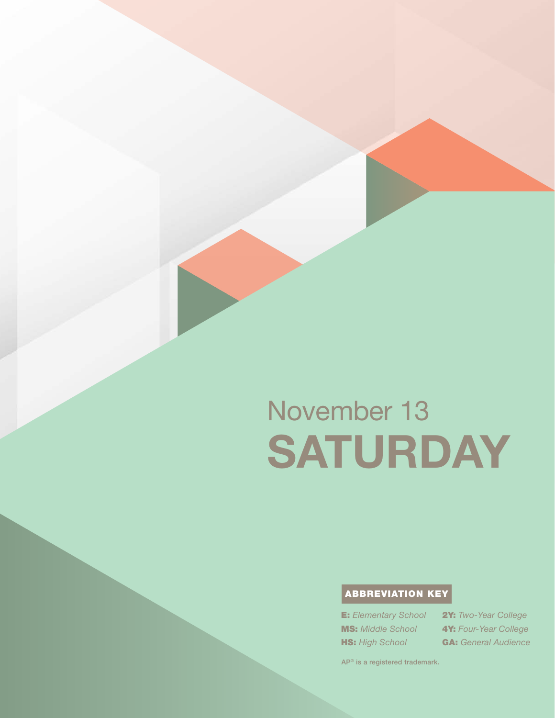# ABBREVIATION KEY

E: *Elementary School* MS: *Middle School* **HS:** High School

2Y: *Two-Year College* 4Y: *Four-Year College* GA: *General Audience*

AP® is a registered trademark.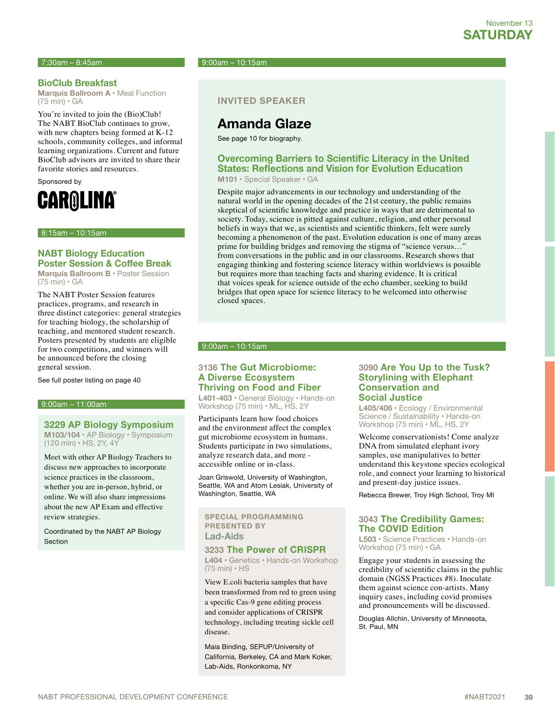#### **BioClub Breakfast**

**Marquis Ballroom A** • Meal Function (75 min) • GA

You're invited to join the (Bio)Club! The NABT BioClub continues to grow, with new chapters being formed at K-12 schools, community colleges, and informal learning organizations. Current and future BioClub advisors are invited to share their favorite stories and resources.

Sponsored by



8:15am – 10:15am

#### **NABT Biology Education Poster Session & Coffee Break**

**Marquis Ballroom B** • Poster Session (75 min) • GA

The NABT Poster Session features practices, programs, and research in three distinct categories: general strategies for teaching biology, the scholarship of teaching, and mentored student research. Posters presented by students are eligible for two competitions, and winners will be announced before the closing general session.

See full poster listing on page 40

#### 9:00am – 11:00am

#### **3229 AP Biology Symposium**

**M103/104 •** AP Biology • Symposium (120 min) • HS, 2Y, 4Y

Meet with other AP Biology Teachers to discuss new approaches to incorporate science practices in the classroom, whether you are in-person, hybrid, or online. We will also share impressions about the new AP Exam and effective review strategies.

Coordinated by the NABT AP Biology Section

7:30am – 8:45am 9:00am – 10:15am

#### **INVITED SPEAKER**

# **Amanda Glaze**

See page 10 for biography.

#### **Overcoming Barriers to Scientific Literacy in the United States: Reflections and Vision for Evolution Education M101** • Special Speaker • GA

Despite major advancements in our technology and understanding of the natural world in the opening decades of the 21st century, the public remains skeptical of scientific knowledge and practice in ways that are detrimental to society. Today, science is pitted against culture, religion, and other personal beliefs in ways that we, as scientists and scientific thinkers, felt were surely becoming a phenomenon of the past. Evolution education is one of many areas prime for building bridges and removing the stigma of "science versus…" from conversations in the public and in our classrooms. Research shows that engaging thinking and fostering science literacy within worldviews is possible but requires more than teaching facts and sharing evidence. It is critical that voices speak for science outside of the echo chamber, seeking to build bridges that open space for science literacy to be welcomed into otherwise closed spaces.

#### 9:00am – 10:15am

#### **3136 The Gut Microbiome: A Diverse Ecosystem Thriving on Food and Fiber**

**L401-403** • General Biology • Hands-on Workshop (75 min) • ML, HS, 2Y

Participants learn how food choices and the environment affect the complex gut microbiome ecosystem in humans. Students participate in two simulations, analyze research data, and more accessible online or in-class.

Joan Griswold, University of Washington, Seattle, WA and Atom Lesiak, University of Washington, Seattle, WA

#### **SPECIAL PROGRAMMING PRESENTED BY Lad-Aids**

#### **3233 The Power of CRISPR**

**L404 •** Genetics • Hands-on Workshop (75 min) • HS

View E.coli bacteria samples that have been transformed from red to green using a specific Cas-9 gene editing process and consider applications of CRISPR technology, including treating sickle cell disease.

Maia Binding, SEPUP/University of California, Berkeley, CA and Mark Koker, Lab-Aids, Ronkonkoma, NY

#### **3090 Are You Up to the Tusk? Storylining with Elephant Conservation and Social Justice**

**L405/406** • Ecology / Environmental Science / Sustainability • Hands-on Workshop (75 min) • ML, HS, 2Y

Welcome conservationists! Come analyze DNA from simulated elephant ivory samples, use manipulatives to better understand this keystone species ecological role, and connect your learning to historical and present-day justice issues.

Rebecca Brewer, Troy High School, Troy MI

#### **3043 The Credibility Games: The COVID Edition**

**L503** • Science Practices • Hands-on Workshop (75 min) • GA

Engage your students in assessing the credibility of scientific claims in the public domain (NGSS Practices #8). Inoculate them against science con-artists. Many inquiry cases, including covid promises and pronouncements will be discussed.

Douglas Allchin, University of Minnesota, St. Paul, MN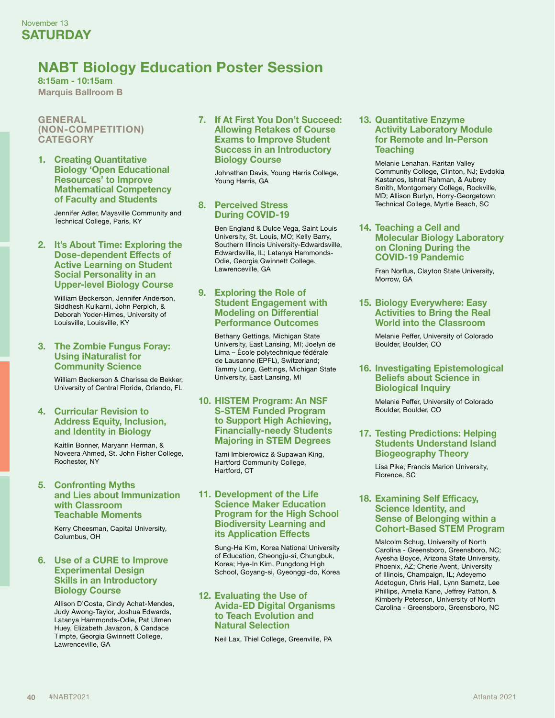# **NABT Biology Education Poster Session**

**8:15am - 10:15am Marquis Ballroom B**

**GENERAL (NON-COMPETITION) CATEGORY**

**1. Creating Quantitative Biology 'Open Educational Resources' to Improve Mathematical Competency of Faculty and Students**

> Jennifer Adler, Maysville Community and Technical College, Paris, KY

#### **2. It's About Time: Exploring the Dose-dependent Effects of Active Learning on Student Social Personality in an Upper-level Biology Course**

William Beckerson, Jennifer Anderson, Siddhesh Kulkarni, John Perpich, & Deborah Yoder-Himes, University of Louisville, Louisville, KY

#### **3. The Zombie Fungus Foray: Using iNaturalist for Community Science**

William Beckerson & Charissa de Bekker, University of Central Florida, Orlando, FL

#### **4. Curricular Revision to Address Equity, Inclusion, and Identity in Biology**

Kaitlin Bonner, Maryann Herman, & Noveera Ahmed, St. John Fisher College, Rochester, NY

#### **5. Confronting Myths and Lies about Immunization with Classroom Teachable Moments**

Kerry Cheesman, Capital University, Columbus, OH

#### **6. Use of a CURE to Improve Experimental Design Skills in an Introductory Biology Course**

Allison D'Costa, Cindy Achat-Mendes, Judy Awong-Taylor, Joshua Edwards, Latanya Hammonds-Odie, Pat Ulmen Huey, Elizabeth Javazon, & Candace Timpte, Georgia Gwinnett College, Lawrenceville, GA

#### **7. If At First You Don't Succeed: Allowing Retakes of Course Exams to Improve Student Success in an Introductory Biology Course**

Johnathan Davis, Young Harris College, Young Harris, GA

#### **8. Perceived Stress During COVID-19**

Ben England & Dulce Vega, Saint Louis University, St. Louis, MO; Kelly Barry, Southern Illinois University-Edwardsville, Edwardsville, IL; Latanya Hammonds-Odie, Georgia Gwinnett College, Lawrenceville, GA

#### **9. Exploring the Role of Student Engagement with Modeling on Differential Performance Outcomes**

Bethany Gettings, Michigan State University, East Lansing, MI; Joelyn de Lima – École polytechnique fédérale de Lausanne (EPFL), Switzerland; Tammy Long, Gettings, Michigan State University, East Lansing, MI

#### **10. HISTEM Program: An NSF S-STEM Funded Program to Support High Achieving, Financially-needy Students Majoring in STEM Degrees**

Tami Imbierowicz & Supawan King, Hartford Community College, Hartford, CT

#### **11. Development of the Life Science Maker Education Program for the High School Biodiversity Learning and its Application Effects**

Sung-Ha Kim, Korea National University of Education, Cheongju-si, Chungbuk, Korea; Hye-In Kim, Pungdong High School, Goyang-si, Gyeonggi-do, Korea

#### **12. Evaluating the Use of Avida-ED Digital Organisms to Teach Evolution and Natural Selection**

Neil Lax, Thiel College, Greenville, PA

#### **13. Quantitative Enzyme Activity Laboratory Module for Remote and In-Person Teaching**

Melanie Lenahan. Raritan Valley Community College, Clinton, NJ; Evdokia Kastanos, Ishrat Rahman, & Aubrey Smith, Montgomery College, Rockville, MD; Allison Burlyn, Horry-Georgetown Technical College, Myrtle Beach, SC

#### **14. Teaching a Cell and Molecular Biology Laboratory on Cloning During the COVID-19 Pandemic**

Fran Norflus, Clayton State University, Morrow, GA

**15. Biology Everywhere: Easy Activities to Bring the Real World into the Classroom**

> Melanie Peffer, University of Colorado Boulder, Boulder, CO

#### **16. Investigating Epistemological Beliefs about Science in Biological Inquiry**

Melanie Peffer, University of Colorado Boulder, Boulder, CO

#### **17. Testing Predictions: Helping Students Understand Island Biogeography Theory**

Lisa Pike, Francis Marion University, Florence, SC

#### **18. Examining Self Efficacy, Science Identity, and Sense of Belonging within a Cohort-Based STEM Program**

Malcolm Schug, University of North Carolina - Greensboro, Greensboro, NC; Ayesha Boyce, Arizona State University, Phoenix, AZ; Cherie Avent, University of Illinois, Champaign, IL; Adeyemo Adetogun, Chris Hall, Lynn Sametz, Lee Phillips, Amelia Kane, Jeffrey Patton, & Kimberly Peterson, University of North Carolina - Greensboro, Greensboro, NC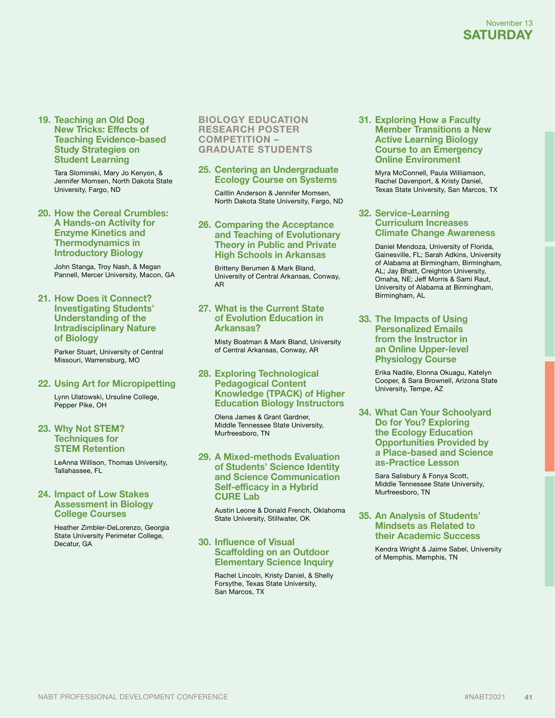**19. Teaching an Old Dog New Tricks: Effects of Teaching Evidence-based Study Strategies on Student Learning**

> Tara Slominski, Mary Jo Kenyon, & Jennifer Momsen, North Dakota State University, Fargo, ND

**20. How the Cereal Crumbles: A Hands-on Activity for Enzyme Kinetics and Thermodynamics in Introductory Biology**

> John Stanga, Troy Nash, & Megan Pannell, Mercer University, Macon, GA

**21. How Does it Connect? Investigating Students' Understanding of the Intradisciplinary Nature of Biology**

> Parker Stuart, University of Central Missouri, Warrensburg, MO

**22. Using Art for Micropipetting**

Lynn Ulatowski, Ursuline College, Pepper Pike, OH

#### **23. Why Not STEM? Techniques for STEM Retention**

LeAnna Willison, Thomas University, Tallahassee, FL

#### **24. Impact of Low Stakes Assessment in Biology College Courses**

Heather Zimbler-DeLorenzo, Georgia State University Perimeter College, Decatur, GA

#### **BIOLOGY EDUCATION RESEARCH POSTER COMPETITION – GRADUATE STUDENTS**

#### **25. Centering an Undergraduate Ecology Course on Systems**

Caitlin Anderson & Jennifer Momsen, North Dakota State University, Fargo, ND

#### **26. Comparing the Acceptance and Teaching of Evolutionary Theory in Public and Private High Schools in Arkansas**

Britteny Berumen & Mark Bland, University of Central Arkansas, Conway, AR

#### **27. What is the Current State of Evolution Education in Arkansas?**

Misty Boatman & Mark Bland, University of Central Arkansas, Conway, AR

#### **28. Exploring Technological Pedagogical Content Knowledge (TPACK) of Higher Education Biology Instructors**

Olena James & Grant Gardner, Middle Tennessee State University, Murfreesboro, TN

#### **29. A Mixed-methods Evaluation of Students' Science Identity and Science Communication Self-efficacy in a Hybrid CURE Lab**

Austin Leone & Donald French, Oklahoma State University, Stillwater, OK

#### **30. Influence of Visual Scaffolding on an Outdoor Elementary Science Inquiry**

Rachel Lincoln, Kristy Daniel, & Shelly Forsythe, Texas State University, San Marcos, TX

#### **31. Exploring How a Faculty Member Transitions a New Active Learning Biology Course to an Emergency Online Environment**

Myra McConnell, Paula Williamson, Rachel Davenport, & Kristy Daniel, Texas State University, San Marcos, TX

#### **32. Service-Learning Curriculum Increases Climate Change Awareness**

Daniel Mendoza, University of Florida, Gainesville, FL; Sarah Adkins, University of Alabama at Birmingham, Birmingham, AL; Jay Bhatt, Creighton University, Omaha, NE; Jeff Morris & Sami Raut, University of Alabama at Birmingham, Birmingham, AL

#### **33. The Impacts of Using Personalized Emails from the Instructor in an Online Upper-level Physiology Course**

Erika Nadile, Elonna Okuagu, Katelyn Cooper, & Sara Brownell, Arizona State University, Tempe, AZ

**34. What Can Your Schoolyard Do for You? Exploring the Ecology Education Opportunities Provided by a Place-based and Science as-Practice Lesson**

> Sara Salisbury & Fonya Scott, Middle Tennessee State University, Murfreesboro, TN

#### **35. An Analysis of Students' Mindsets as Related to their Academic Success**

Kendra Wright & Jaime Sabel, University of Memphis, Memphis, TN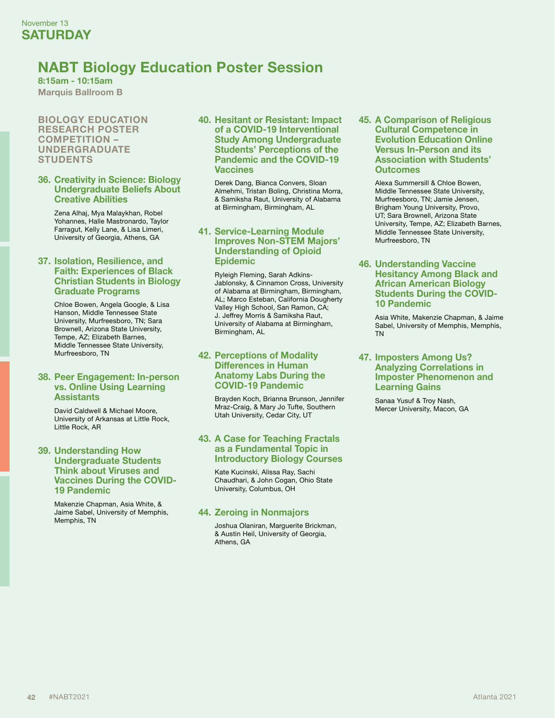# **NABT Biology Education Poster Session**

**8:15am - 10:15am Marquis Ballroom B**

#### **BIOLOGY EDUCATION RESEARCH POSTER COMPETITION – UNDERGRADUATE STUDENTS**

#### **36. Creativity in Science: Biology Undergraduate Beliefs About Creative Abilities**

Zena Alhaj, Mya Malaykhan, Robel Yohannes, Halle Mastronardo, Taylor Farragut, Kelly Lane, & Lisa Limeri, University of Georgia, Athens, GA

#### **37. Isolation, Resilience, and Faith: Experiences of Black Christian Students in Biology Graduate Programs**

Chloe Bowen, Angela Google, & Lisa Hanson, Middle Tennessee State University, Murfreesboro, TN; Sara Brownell, Arizona State University, Tempe, AZ; Elizabeth Barnes, Middle Tennessee State University, Murfreesboro, TN

#### **38. Peer Engagement: In-person vs. Online Using Learning Assistants**

David Caldwell & Michael Moore, University of Arkansas at Little Rock, Little Rock, AR

#### **39. Understanding How Undergraduate Students Think about Viruses and Vaccines During the COVID-19 Pandemic**

Makenzie Chapman, Asia White, & Jaime Sabel, University of Memphis, Memphis, TN

#### **40. Hesitant or Resistant: Impact of a COVID-19 Interventional Study Among Undergraduate Students' Perceptions of the Pandemic and the COVID-19 Vaccines**

Derek Dang, Bianca Convers, Sloan Almehmi, Tristan Boling, Christina Morra, & Samiksha Raut, University of Alabama at Birmingham, Birmingham, AL

#### **41. Service-Learning Module Improves Non-STEM Majors' Understanding of Opioid Epidemic**

Ryleigh Fleming, Sarah Adkins-Jablonsky, & Cinnamon Cross, University of Alabama at Birmingham, Birmingham, AL; Marco Esteban, California Dougherty Valley High School, San Ramon, CA; J. Jeffrey Morris & Samiksha Raut, University of Alabama at Birmingham, Birmingham, AL

#### **42. Perceptions of Modality Differences in Human Anatomy Labs During the COVID-19 Pandemic**

Brayden Koch, Brianna Brunson, Jennifer Mraz-Craig, & Mary Jo Tufte, Southern Utah University, Cedar City, UT

#### **43. A Case for Teaching Fractals as a Fundamental Topic in Introductory Biology Courses**

Kate Kucinski, Alissa Ray, Sachi Chaudhari, & John Cogan, Ohio State University, Columbus, OH

#### **44. Zeroing in Nonmajors**

Joshua Olaniran, Marguerite Brickman, & Austin Heil, University of Georgia, Athens, GA

**45. A Comparison of Religious Cultural Competence in Evolution Education Online Versus In-Person and its Association with Students' Outcomes**

> Alexa Summersill & Chloe Bowen, Middle Tennessee State University, Murfreesboro, TN; Jamie Jensen, Brigham Young University, Provo, UT; Sara Brownell, Arizona State University, Tempe, AZ; Elizabeth Barnes, Middle Tennessee State University, Murfreesboro, TN

#### **46. Understanding Vaccine Hesitancy Among Black and African American Biology Students During the COVID-10 Pandemic**

Asia White, Makenzie Chapman, & Jaime Sabel, University of Memphis, Memphis, TN

#### **47. Imposters Among Us? Analyzing Correlations in Imposter Phenomenon and Learning Gains**

Sanaa Yusuf & Troy Nash, Mercer University, Macon, GA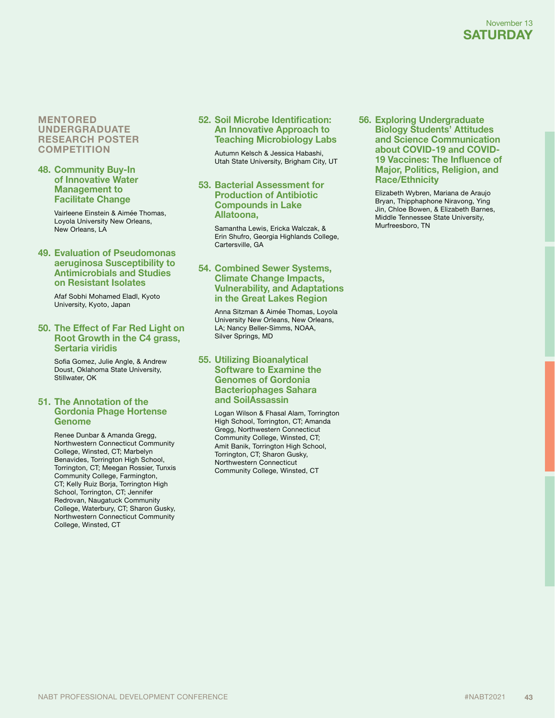#### **MENTORED UNDERGRADUATE RESEARCH POSTER COMPETITION**

#### **48. Community Buy-In of Innovative Water Management to Facilitate Change**

Vairleene Einstein & Aimée Thomas, Loyola University New Orleans, New Orleans, LA

#### **49. Evaluation of Pseudomonas aeruginosa Susceptibility to Antimicrobials and Studies on Resistant Isolates**

Afaf Sobhi Mohamed Eladl, Kyoto University, Kyoto, Japan

#### **50. The Effect of Far Red Light on Root Growth in the C4 grass, Sertaria viridis**

Sofia Gomez, Julie Angle, & Andrew Doust, Oklahoma State University, Stillwater, OK

#### **51. The Annotation of the Gordonia Phage Hortense Genome**

Renee Dunbar & Amanda Gregg, Northwestern Connecticut Community College, Winsted, CT; Marbelyn Benavides, Torrington High School, Torrington, CT; Meegan Rossier, Tunxis Community College, Farmington, CT; Kelly Ruiz Borja, Torrington High School, Torrington, CT; Jennifer Redrovan, Naugatuck Community College, Waterbury, CT; Sharon Gusky, Northwestern Connecticut Community College, Winsted, CT

#### **52. Soil Microbe Identification: An Innovative Approach to Teaching Microbiology Labs**

Autumn Kelsch & Jessica Habashi, Utah State University, Brigham City, UT

#### **53. Bacterial Assessment for Production of Antibiotic Compounds in Lake Allatoona,**

Samantha Lewis, Ericka Walczak, & Erin Shufro, Georgia Highlands College, Cartersville, GA

#### **54. Combined Sewer Systems, Climate Change Impacts, Vulnerability, and Adaptations in the Great Lakes Region**

Anna Sitzman & Aimée Thomas, Loyola University New Orleans, New Orleans, LA; Nancy Beller-Simms, NOAA, Silver Springs, MD

#### **55. Utilizing Bioanalytical Software to Examine the Genomes of Gordonia Bacteriophages Sahara and SoilAssassin**

Logan Wilson & Fhasal Alam, Torrington High School, Torrington, CT; Amanda Gregg, Northwestern Connecticut Community College, Winsted, CT; Amit Banik, Torrington High School, Torrington, CT; Sharon Gusky, Northwestern Connecticut Community College, Winsted, CT

**56. Exploring Undergraduate Biology Students' Attitudes and Science Communication about COVID-19 and COVID-19 Vaccines: The Influence of Major, Politics, Religion, and Race/Ethnicity**

> Elizabeth Wybren, Mariana de Araujo Bryan, Thipphaphone Niravong, Ying Jin, Chloe Bowen, & Elizabeth Barnes, Middle Tennessee State University, Murfreesboro, TN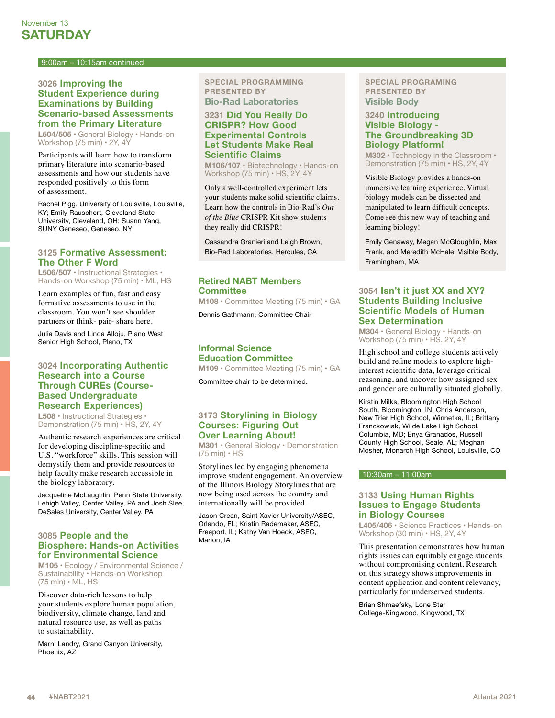#### 9:00am – 10:15am continued

#### **3026 Improving the Student Experience during Examinations by Building Scenario-based Assessments from the Primary Literature**

**L504/505** • General Biology • Hands-on Workshop (75 min) • 2Y, 4Y

Participants will learn how to transform primary literature into scenario-based assessments and how our students have responded positively to this form of assessment.

Rachel Pigg, University of Louisville, Louisville, KY; Emily Rauschert, Cleveland State University, Cleveland, OH; Suann Yang, SUNY Geneseo, Geneseo, NY

#### **3125 Formative Assessment: The Other F Word**

**L506/507** • Instructional Strategies • Hands-on Workshop (75 min) • ML, HS

Learn examples of fun, fast and easy formative assessments to use in the classroom. You won't see shoulder partners or think- pair- share here.

Julia Davis and Linda Alloju, Plano West Senior High School, Plano, TX

#### **3024 Incorporating Authentic Research into a Course Through CUREs (Course-Based Undergraduate Research Experiences)**

**L508** • Instructional Strategies • Demonstration (75 min) • HS, 2Y, 4Y

Authentic research experiences are critical for developing discipline-specific and U.S. "workforce" skills. This session will demystify them and provide resources to help faculty make research accessible in the biology laboratory.

Jacqueline McLaughlin, Penn State University, Lehigh Valley, Center Valley, PA and Josh Slee, DeSales University, Center Valley, PA

#### **3085 People and the Biosphere: Hands-on Activities for Environmental Science**

**M105** • Ecology / Environmental Science / Sustainability • Hands-on Workshop (75 min) • ML, HS

Discover data-rich lessons to help your students explore human population, biodiversity, climate change, land and natural resource use, as well as paths to sustainability.

Marni Landry, Grand Canyon University, Phoenix, AZ

#### **SPECIAL PROGRAMMING PRESENTED BY Bio-Rad Laboratories**

#### **3231 Did You Really Do CRISPR? How Good Experimental Controls Let Students Make Real Scientific Claims**

**M106/107 •** Biotechnology • Hands-on Workshop (75 min) • HS, 2Y, 4Y

Only a well-controlled experiment lets your students make solid scientific claims. Learn how the controls in Bio-Rad's *Out of the Blue* CRISPR Kit show students they really did CRISPR!

Cassandra Granieri and Leigh Brown, Bio-Rad Laboratories, Hercules, CA

#### **Retired NABT Members Committee**

**M108** • Committee Meeting (75 min) • GA

Dennis Gathmann, Committee Chair

#### **Informal Science Education Committee**

**M109** • Committee Meeting (75 min) • GA

Committee chair to be determined.

#### **3173 Storylining in Biology Courses: Figuring Out Over Learning About!**

**M301** • General Biology • Demonstration (75 min) • HS

Storylines led by engaging phenomena improve student engagement. An overview of the Illinois Biology Storylines that are now being used across the country and internationally will be provided.

Jason Crean, Saint Xavier University/ASEC, Orlando, FL; Kristin Rademaker, ASEC, Freeport, IL; Kathy Van Hoeck, ASEC, Marion, IA

#### **SPECIAL PROGRAMING PRESENTED BY Visible Body**

#### **3240 Introducing Visible Biology - The Groundbreaking 3D Biology Platform!**

**M302 •** Technology in the Classroom • Demonstration (75 min) • HS, 2Y, 4Y

Visible Biology provides a hands-on immersive learning experience. Virtual biology models can be dissected and manipulated to learn difficult concepts. Come see this new way of teaching and learning biology!

Emily Genaway, Megan McGloughlin, Max Frank, and Meredith McHale, Visible Body, Framingham, MA

#### **3054 Isn't it just XX and XY? Students Building Inclusive Scientific Models of Human Sex Determination**

**M304** • General Biology • Hands-on Workshop (75 min) • HS, 2Y, 4Y

High school and college students actively build and refine models to explore highinterest scientific data, leverage critical reasoning, and uncover how assigned sex and gender are culturally situated globally.

Kirstin Milks, Bloomington High School South, Bloomington, IN; Chris Anderson, New Trier High School, Winnetka, IL; Brittany Franckowiak, Wilde Lake High School, Columbia, MD; Enya Granados, Russell County High School, Seale, AL; Meghan Mosher, Monarch High School, Louisville, CO

#### 10:30am – 11:00am

#### **3133 Using Human Rights Issues to Engage Students in Biology Courses**

**L405/406** • Science Practices • Hands-on Workshop (30 min) • HS, 2Y, 4Y

This presentation demonstrates how human rights issues can equitably engage students without compromising content. Research on this strategy shows improvements in content application and content relevancy, particularly for underserved students.

Brian Shmaefsky, Lone Star College-Kingwood, Kingwood, TX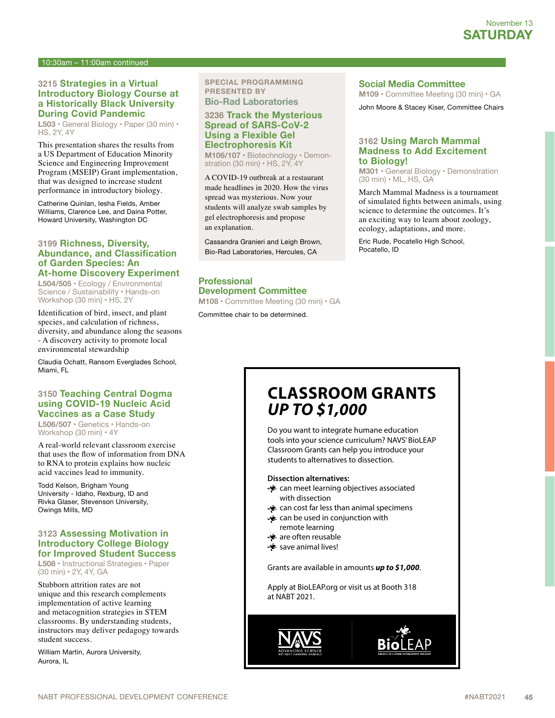#### 10:30am – 11:00am continued

#### **3215 Strategies in a Virtual Introductory Biology Course at a Historically Black University During Covid Pandemic**

**L503** • General Biology • Paper (30 min) • HS, 2Y, 4Y

This presentation shares the results from a US Department of Education Minority Science and Engineering Improvement Program (MSEIP) Grant implementation, that was designed to increase student performance in introductory biology.

Catherine Quinlan, Iesha Fields, Amber Williams, Clarence Lee, and Daina Potter, Howard University, Washington DC

#### **3199 Richness, Diversity, Abundance, and Classification of Garden Species: An At-home Discovery Experiment**

**L504/505** • Ecology / Environmental Science / Sustainability • Hands-on Workshop (30 min) · HS, 2Y

Identification of bird, insect, and plant species, and calculation of richness, diversity, and abundance along the seasons - A discovery activity to promote local environmental stewardship

Claudia Ochatt, Ransom Everglades School, Miami, FL

#### **3150 Teaching Central Dogma using COVID-19 Nucleic Acid Vaccines as a Case Study**

**L506/507** • Genetics • Hands-on Workshop (30 min) • 4Y

A real-world relevant classroom exercise that uses the flow of information from DNA to RNA to protein explains how nucleic acid vaccines lead to immunity.

Todd Kelson, Brigham Young University - Idaho, Rexburg, ID and Rivka Glaser, Stevenson University, Owings Mills, MD

#### **3123 Assessing Motivation in Introductory College Biology for Improved Student Success**

**L508** • Instructional Strategies • Paper (30 min) • 2Y, 4Y, GA

Stubborn attrition rates are not unique and this research complements implementation of active learning and metacognition strategies in STEM classrooms. By understanding students, instructors may deliver pedagogy towards student success.

William Martin, Aurora University, Aurora, IL

#### **SPECIAL PROGRAMMING PRESENTED BY Bio-Rad Laboratories**

**3236 Track the Mysterious Spread of SARS-CoV-2 Using a Flexible Gel Electrophoresis Kit**

**M106/107 •** Biotechnology • Demonstration (30 min) · HS, 2Y, 4Y

A COVID-19 outbreak at a restaurant made headlines in 2020. How the virus spread was mysterious. Now your students will analyze swab samples by gel electrophoresis and propose an explanation.

Cassandra Granieri and Leigh Brown, Bio-Rad Laboratories, Hercules, CA

### **Professional Development Committee**

**M108** • Committee Meeting (30 min) • GA

Committee chair to be determined.

#### **Social Media Committee**

**M109** • Committee Meeting (30 min) • GA

John Moore & Stacey Kiser, Committee Chairs

#### **3162 Using March Mammal Madness to Add Excitement to Biology!**

**M301** • General Biology • Demonstration (30 min) • ML, HS, GA

March Mammal Madness is a tournament of simulated fights between animals, using science to determine the outcomes. It's an exciting way to learn about zoology, ecology, adaptations, and more.

Eric Rude, Pocatello High School, Pocatello, ID

# **CLASSROOM GRANTS UP TO \$1,000**

Do you want to integrate humane education tools into your science curriculum? NAVS' BioLEAP Classroom Grants can help you introduce your students to alternatives to dissection.

#### **Dissection alternatives:**

- can meet learning objectives associated with dissection
- can cost far less than animal specimens
- can be used in conjunction with
- remote learning **参** are often reusable
- save animal lives!

Grants are available in amounts **up to \$1,000**.

Apply at BioLEAP.org or visit us at Booth 318 at NABT 2021.

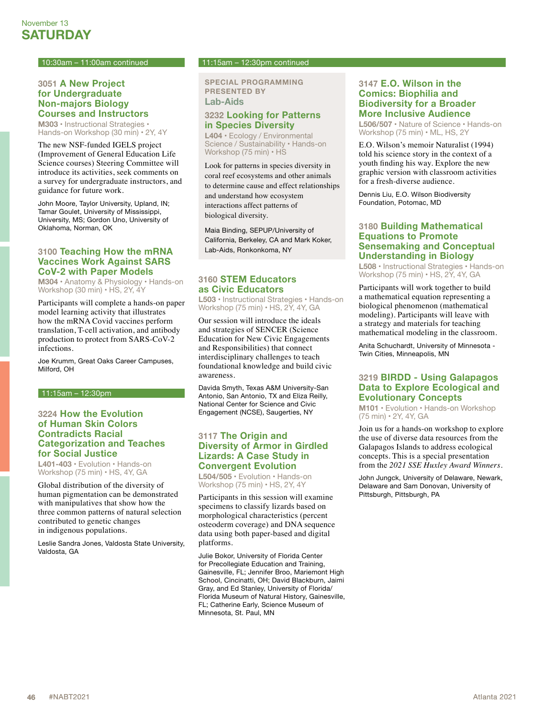#### 10:30am – 11:00am continued

#### **3051 A New Project for Undergraduate Non-majors Biology Courses and Instructors**

**M303** • Instructional Strategies • Hands-on Workshop (30 min) • 2Y, 4Y

The new NSF-funded IGELS project (Improvement of General Education Life Science courses) Steering Committee will introduce its activities, seek comments on a survey for undergraduate instructors, and guidance for future work.

John Moore, Taylor University, Upland, IN; Tamar Goulet, University of Mississippi, University, MS; Gordon Uno, University of Oklahoma, Norman, OK

#### **3100 Teaching How the mRNA Vaccines Work Against SARS CoV-2 with Paper Models**

**M304** • Anatomy & Physiology • Hands-on Workshop (30 min) • HS, 2Y, 4Y

Participants will complete a hands-on paper model learning activity that illustrates how the mRNA Covid vaccines perform translation, T-cell activation, and antibody production to protect from SARS-CoV-2 infections.

Joe Krumm, Great Oaks Career Campuses, Milford, OH

#### 11:15am – 12:30pm

#### **3224 How the Evolution of Human Skin Colors Contradicts Racial Categorization and Teaches for Social Justice**

**L401-403** • Evolution • Hands-on Workshop (75 min) • HS, 4Y, GA

Global distribution of the diversity of human pigmentation can be demonstrated with manipulatives that show how the three common patterns of natural selection contributed to genetic changes in indigenous populations.

Leslie Sandra Jones, Valdosta State University, Valdosta, GA

#### 11:15am – 12:30pm continued

**SPECIAL PROGRAMMING PRESENTED BY Lab-Aids**

#### **3232 Looking for Patterns in Species Diversity**

**L404 •** Ecology / Environmental Science / Sustainability • Hands-on Workshop (75 min) • HS

Look for patterns in species diversity in coral reef ecosystems and other animals to determine cause and effect relationships and understand how ecosystem interactions affect patterns of biological diversity.

Maia Binding, SEPUP/University of California, Berkeley, CA and Mark Koker, Lab-Aids, Ronkonkoma, NY

#### **3160 STEM Educators as Civic Educators**

**L503** • Instructional Strategies • Hands-on Workshop (75 min) • HS, 2Y, 4Y, GA

Our session will introduce the ideals and strategies of SENCER (Science Education for New Civic Engagements and Responsibilities) that connect interdisciplinary challenges to teach foundational knowledge and build civic awareness.

Davida Smyth, Texas A&M University-San Antonio, San Antonio, TX and Eliza Reilly, National Center for Science and Civic Engagement (NCSE), Saugerties, NY

#### **3117 The Origin and Diversity of Armor in Girdled Lizards: A Case Study in Convergent Evolution**

**L504/505** • Evolution • Hands-on Workshop (75 min) • HS, 2Y, 4Y

Participants in this session will examine specimens to classify lizards based on morphological characteristics (percent osteoderm coverage) and DNA sequence data using both paper-based and digital platforms.

Julie Bokor, University of Florida Center for Precollegiate Education and Training, Gainesville, FL; Jennifer Broo, Mariemont High School, Cincinatti, OH; David Blackburn, Jaimi Gray, and Ed Stanley, University of Florida/ Florida Museum of Natural History, Gainesville, FL; Catherine Early, Science Museum of Minnesota, St. Paul, MN

#### **3147 E.O. Wilson in the Comics: Biophilia and Biodiversity for a Broader More Inclusive Audience**

**L506/507** • Nature of Science • Hands-on Workshop (75 min) • ML, HS, 2Y

E.O. Wilson's memoir Naturalist (1994) told his science story in the context of a youth finding his way. Explore the new graphic version with classroom activities for a fresh-diverse audience.

Dennis Liu, E.O. Wilson Biodiversity Foundation, Potomac, MD

#### **3180 Building Mathematical Equations to Promote Sensemaking and Conceptual Understanding in Biology**

**L508** • Instructional Strategies • Hands-on Workshop (75 min) • HS, 2Y, 4Y, GA

Participants will work together to build a mathematical equation representing a biological phenomenon (mathematical modeling). Participants will leave with a strategy and materials for teaching mathematical modeling in the classroom.

Anita Schuchardt, University of Minnesota - Twin Cities, Minneapolis, MN

#### **3219 BIRDD - Using Galapagos Data to Explore Ecological and Evolutionary Concepts**

**M101** • Evolution • Hands-on Workshop (75 min) • 2Y, 4Y, GA

Join us for a hands-on workshop to explore the use of diverse data resources from the Galapagos Islands to address ecological concepts. This is a special presentation from the *2021 SSE Huxley Award Winners*.

John Jungck, University of Delaware, Newark, Delaware and Sam Donovan, University of Pittsburgh, Pittsburgh, PA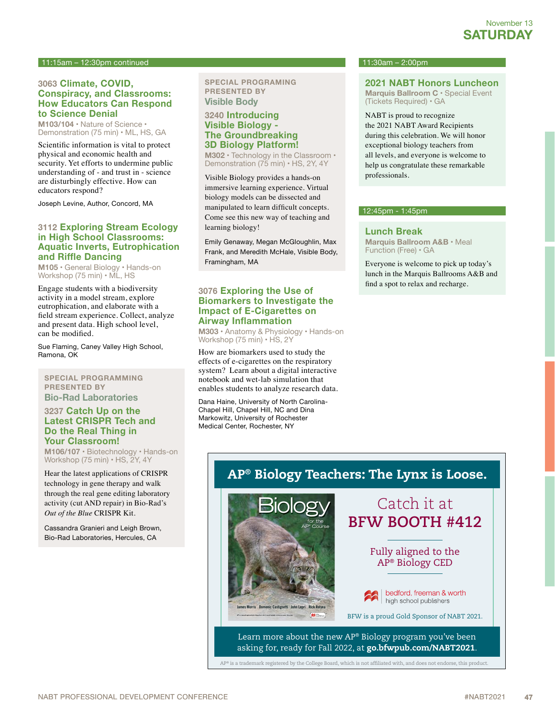#### 11:15am – 12:30pm continued

#### **3063 Climate, COVID, Conspiracy, and Classrooms: How Educators Can Respond to Science Denial**

**M103/104** • Nature of Science • Demonstration (75 min) • ML, HS, GA

Scientific information is vital to protect physical and economic health and security. Yet efforts to undermine public understanding of - and trust in - science are disturbingly effective. How can educators respond?

Joseph Levine, Author, Concord, MA

#### **3112 Exploring Stream Ecology in High School Classrooms: Aquatic Inverts, Eutrophication and Riffle Dancing**

**M105** • General Biology • Hands-on Workshop (75 min) • ML, HS

Engage students with a biodiversity activity in a model stream, explore eutrophication, and elaborate with a field stream experience. Collect, analyze and present data. High school level, can be modified.

Sue Flaming, Caney Valley High School, Ramona, OK

**SPECIAL PROGRAMMING PRESENTED BY Bio-Rad Laboratories**

#### **3237 Catch Up on the Latest CRISPR Tech and Do the Real Thing in Your Classroom!**

**M106/107 •** Biotechnology • Hands-on Workshop (75 min) • HS, 2Y, 4Y

Hear the latest applications of CRISPR technology in gene therapy and walk through the real gene editing laboratory activity (cut AND repair) in Bio-Rad's *Out of the Blue* CRISPR Kit.

Cassandra Granieri and Leigh Brown, Bio-Rad Laboratories, Hercules, CA

**SPECIAL PROGRAMING PRESENTED BY Visible Body**

#### **3240 Introducing Visible Biology - The Groundbreaking 3D Biology Platform!**

**M302 •** Technology in the Classroom • Demonstration (75 min) • HS, 2Y, 4Y

Visible Biology provides a hands-on immersive learning experience. Virtual biology models can be dissected and manipulated to learn difficult concepts. Come see this new way of teaching and learning biology!

Emily Genaway, Megan McGloughlin, Max Frank, and Meredith McHale, Visible Body, Framingham, MA

#### **3076 Exploring the Use of Biomarkers to Investigate the Impact of E-Cigarettes on Airway Inflammation**

**M303** • Anatomy & Physiology • Hands-on Workshop (75 min) • HS, 2Y

How are biomarkers used to study the effects of e-cigarettes on the respiratory system? Learn about a digital interactive notebook and wet-lab simulation that enables students to analyze research data.

Dana Haine, University of North Carolina-Chapel Hill, Chapel Hill, NC and Dina Markowitz, University of Rochester Medical Center, Rochester, NY

#### $11:30$ am – 2:00pm

**2021 NABT Honors Luncheon**

**Marquis Ballroom C •** Special Event (Tickets Required) • GA

NABT is proud to recognize

the 2021 NABT Award Recipients during this celebration. We will honor exceptional biology teachers from all levels, and everyone is welcome to help us congratulate these remarkable professionals.

#### 12:45pm - 1:45pm

#### **Lunch Break**

**Marquis Ballroom A&B •** Meal Function (Free) • GA

Everyone is welcome to pick up today's lunch in the Marquis Ballrooms A&B and find a spot to relax and recharge.

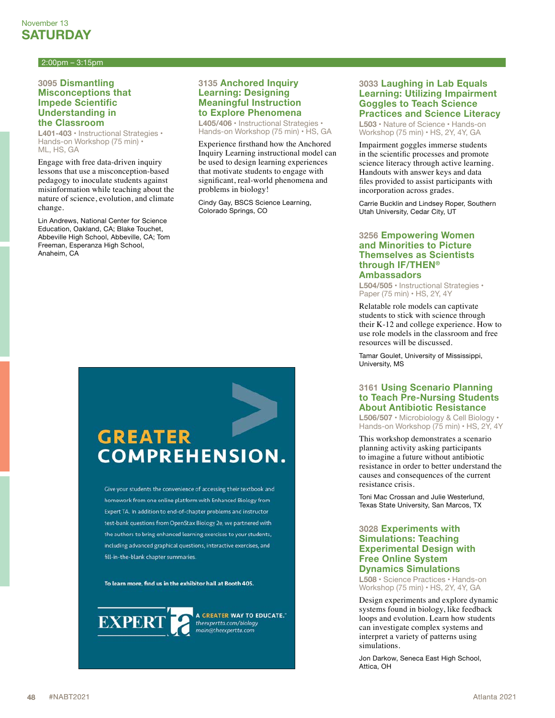#### 2:00pm – 3:15pm

#### **3095 Dismantling Misconceptions that Impede Scientific Understanding in the Classroom**

**L401-403** • Instructional Strategies • Hands-on Workshop (75 min) • ML, HS, GA

Engage with free data-driven inquiry lessons that use a misconception-based pedagogy to inoculate students against misinformation while teaching about the nature of science, evolution, and climate change.

Lin Andrews, National Center for Science Education, Oakland, CA; Blake Touchet, Abbeville High School, Abbeville, CA; Tom Freeman, Esperanza High School, Anaheim, CA

#### **3135 Anchored Inquiry Learning: Designing Meaningful Instruction to Explore Phenomena**

**L405/406** • Instructional Strategies • Hands-on Workshop (75 min) • HS, GA

Experience firsthand how the Anchored Inquiry Learning instructional model can be used to design learning experiences that motivate students to engage with significant, real-world phenomena and problems in biology!

Cindy Gay, BSCS Science Learning, Colorado Springs, CO

#### **3033 Laughing in Lab Equals Learning: Utilizing Impairment Goggles to Teach Science Practices and Science Literacy**

**L503** • Nature of Science • Hands-on Workshop (75 min) • HS, 2Y, 4Y, GA

Impairment goggles immerse students in the scientific processes and promote science literacy through active learning. Handouts with answer keys and data files provided to assist participants with incorporation across grades.

Carrie Bucklin and Lindsey Roper, Southern Utah University, Cedar City, UT

#### **3256 Empowering Women and Minorities to Picture Themselves as Scientists through IF/THEN® Ambassadors**

**L504/505** • Instructional Strategies • Paper (75 min) • HS, 2Y, 4Y

Relatable role models can captivate students to stick with science through their K-12 and college experience. How to use role models in the classroom and free resources will be discussed.

Tamar Goulet, University of Mississippi, University, MS

#### **3161 Using Scenario Planning to Teach Pre-Nursing Students About Antibiotic Resistance**

**L506/507** • Microbiology & Cell Biology • Hands-on Workshop (75 min) • HS, 2Y, 4Y

This workshop demonstrates a scenario planning activity asking participants to imagine a future without antibiotic resistance in order to better understand the causes and consequences of the current resistance crisis.

Toni Mac Crossan and Julie Westerlund, Texas State University, San Marcos, TX

#### **3028 Experiments with Simulations: Teaching Experimental Design with Free Online System Dynamics Simulations**

**L508** • Science Practices • Hands-on Workshop (75 min) • HS, 2Y, 4Y, GA

Design experiments and explore dynamic systems found in biology, like feedback loops and evolution. Learn how students can investigate complex systems and interpret a variety of patterns using simulations.

Jon Darkow, Seneca East High School, Attica, OH

# **GREATER COMPREHENSION.**

Give your students the convenience of accessing their textbook and homework from one online platform with Enhanced Biology from Expert TA. In addition to end-of-chapter problems and instructor test-bank questions from OpenStax Biology 2e, we partnered with the authors to bring enhanced learning exercises to your students, including advanced graphical questions, interactive exercises, and fill-in-the-blank chapter summaries.

To learn more, find us in the exhibitor hall at Booth 405.



A GREATER WAY TO EDUCATE." theexpertta.com/biology main@theexpertta.com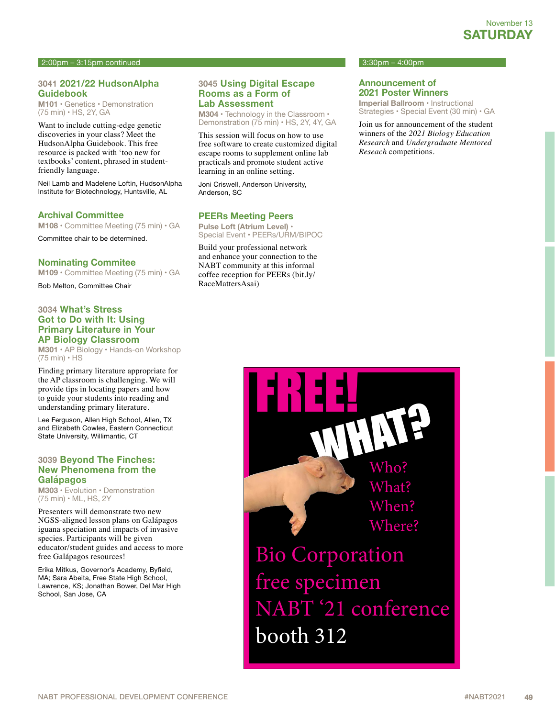#### 2:00pm – 3:15pm continued

#### **3041 2021/22 HudsonAlpha Guidebook**

**M101** • Genetics • Demonstration (75 min) • HS, 2Y, GA

Want to include cutting-edge genetic discoveries in your class? Meet the HudsonAlpha Guidebook. This free resource is packed with 'too new for textbooks' content, phrased in studentfriendly language.

Neil Lamb and Madelene Loftin, HudsonAlpha Institute for Biotechnology, Huntsville, AL

#### **Archival Committee**

**M108** • Committee Meeting (75 min) • GA

Committee chair to be determined.

#### **Nominating Commitee**

**M109** • Committee Meeting (75 min) • GA

Bob Melton, Committee Chair

#### **3034 What's Stress Got to Do with It: Using Primary Literature in Your AP Biology Classroom**

**M301** • AP Biology • Hands-on Workshop (75 min) • HS

Finding primary literature appropriate for the AP classroom is challenging. We will provide tips in locating papers and how to guide your students into reading and understanding primary literature.

Lee Ferguson, Allen High School, Allen, TX and Elizabeth Cowles, Eastern Connecticut State University, Willimantic, CT

#### **3039 Beyond The Finches: New Phenomena from the Galápagos**

**M303** • Evolution • Demonstration (75 min) • ML, HS, 2Y

Presenters will demonstrate two new NGSS-aligned lesson plans on Galápagos iguana speciation and impacts of invasive species. Participants will be given educator/student guides and access to more free Galápagos resources!

Erika Mitkus, Governor's Academy, Byfield, MA; Sara Abeita, Free State High School, Lawrence, KS; Jonathan Bower, Del Mar High School, San Jose, CA

#### **3045 Using Digital Escape Rooms as a Form of Lab Assessment**

**M304** • Technology in the Classroom • Demonstration (75 min) • HS, 2Y, 4Y, GA

This session will focus on how to use free software to create customized digital escape rooms to supplement online lab practicals and promote student active learning in an online setting.

Joni Criswell, Anderson University, Anderson, SC

#### **PEERs Meeting Peers**

**Pulse Loft (Atrium Level)** • Special Event • PEERs/URM/BIPOC

Build your professional network and enhance your connection to the NABT community at this informal coffee reception for PEERs (bit.ly/ RaceMattersAsai)

#### $3:30$ pm – 4:00pm

#### **Announcement of 2021 Poster Winners**

**Imperial Ballroom** • Instructional Strategies • Special Event (30 min) • GA

Join us for announcement of the student winners of the *2021 Biology Education Research* and *Undergraduate Mentored Reseach* competitions.